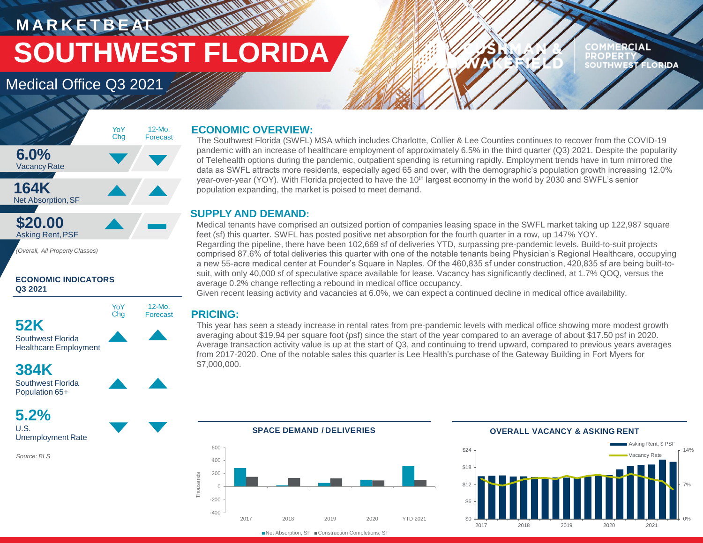## **RANCH COMPANY MARKETBEATTIN SOUTHWEST FLORIDA**

#### **RCIAL PROPERT EST FLORIDA**

## Medical Office Q3 2021



*(Overall, All Property Classes)*

#### **ECONOMIC INDICATORS Q3 2021**



Healthcare Employment

### **384K**



**5.2%** U.S. Unemployment Rate

*Source: BLS*

#### **ECONOMIC OVERVIEW:**

The Southwest Florida (SWFL) MSA which includes Charlotte, Collier & Lee Counties continues to recover from the COVID-19 pandemic with an increase of healthcare employment of approximately 6.5% in the third quarter (Q3) 2021. Despite the popularity of Telehealth options during the pandemic, outpatient spending is returning rapidly. Employment trends have in turn mirrored the data as SWFL attracts more residents, especially aged 65 and over, with the demographic's population growth increasing 12.0% year-over-year (YOY). With Florida projected to have the 10<sup>th</sup> largest economy in the world by 2030 and SWFL's senior population expanding, the market is poised to meet demand.

#### **SUPPLY AND DEMAND:**

Medical tenants have comprised an outsized portion of companies leasing space in the SWFL market taking up 122,987 square feet (sf) this quarter. SWFL has posted positive net absorption for the fourth quarter in a row, up 147% YOY. Regarding the pipeline, there have been 102,669 sf of deliveries YTD, surpassing pre-pandemic levels. Build-to-suit projects comprised 87.6% of total deliveries this quarter with one of the notable tenants being Physician's Regional Healthcare, occupying a new 55-acre medical center at Founder's Square in Naples. Of the 460,835 sf under construction, 420,835 sf are being built-tosuit, with only 40,000 sf of speculative space available for lease. Vacancy has significantly declined, at 1.7% QOQ, versus the average 0.2% change reflecting a rebound in medical office occupancy.

Given recent leasing activity and vacancies at 6.0%, we can expect a continued decline in medical office availability.

#### **PRICING:**

12-Mo. Forecast

YoY Chg

> This year has seen a steady increase in rental rates from pre-pandemic levels with medical office showing more modest growth averaging about \$19.94 per square foot (psf) since the start of the year compared to an average of about \$17.50 psf in 2020. Average transaction activity value is up at the start of Q3, and continuing to trend upward, compared to previous years averages from 2017-2020. One of the notable sales this quarter is Lee Health's purchase of the Gateway Building in Fort Myers for \$7,000,000.



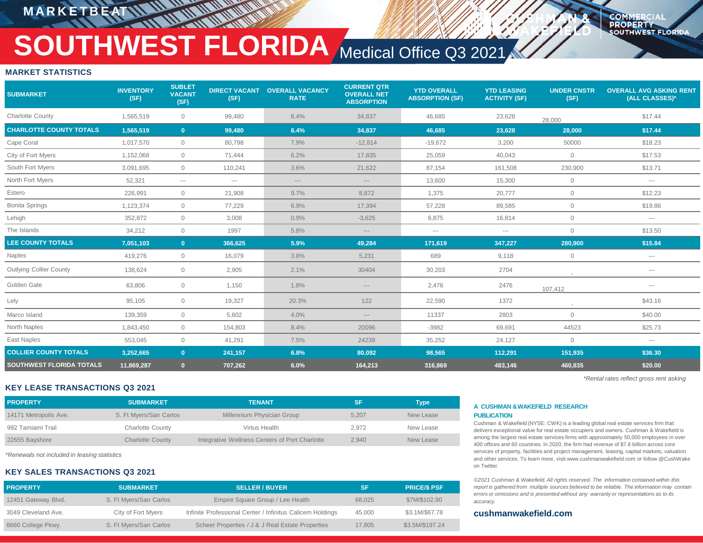### **M A R K E T B E AT**

**COMMERCIA PROPERTY SOUTHWEST FLORIDA** 

# **SOUTHWEST FLORIDA** Medical Office Q3 2021

#### **MARKET STATISTICS**

| <b>SUBMARKET</b>                | <b>INVENTORY</b><br>(SF) | <b>SUBLET</b><br><b>VACANT</b><br>(SF) | <b>DIRECT VACANT</b><br>(SF) | <b>OVERALL VACANCY</b><br><b>RATE</b> | <b>CURRENT QTR</b><br><b>OVERALL NET</b><br><b>ABSORPTION</b> | <b>YTD OVERALL</b><br><b>ABSORPTION (SF)</b> | <b>YTD LEASING</b><br><b>ACTIVITY (SF)</b> | <b>UNDER CNSTR</b><br>(SF) | <b>OVERALL AVG ASKING RENT</b><br>(ALL CLASSES)* |
|---------------------------------|--------------------------|----------------------------------------|------------------------------|---------------------------------------|---------------------------------------------------------------|----------------------------------------------|--------------------------------------------|----------------------------|--------------------------------------------------|
| <b>Charlotte County</b>         | 1,565,519                | $\circ$                                | 99,480                       | 6.4%                                  | 34,837                                                        | 46,685                                       | 23,628                                     | 28,000                     | \$17.44                                          |
| <b>CHARLOTTE COUNTY TOTALS</b>  | 1,565,519                | $\mathbf{0}$                           | 99,480                       | 6.4%                                  | 34,837                                                        | 46,685                                       | 23,628                                     | 28,000                     | \$17.44                                          |
| Cape Coral                      | 1,017,570                | $\circ$                                | 80,798                       | 7.9%                                  | $-12,814$                                                     | $-19,672$                                    | 3,200                                      | 50000                      | \$18.23                                          |
| City of Fort Myers              | 1,152,068                | $\circ$                                | 71,444                       | 6.2%                                  | 17,835                                                        | 25,059                                       | 40,043                                     | $\mathbf 0$                | \$17.53                                          |
| South Fort Myers                | 3,091,695                | $\circ$                                | 110,241                      | 3.6%                                  | 21,622                                                        | 87,154                                       | 161,508                                    | 230,900                    | \$13.71                                          |
| North Fort Myers                | 52,321                   | $\cdots$                               | $\cdots$                     | $-\cdots$                             | $---$                                                         | 13,600                                       | 15,300                                     | $\overline{0}$             | $\hspace{0.05cm} \ldots \hspace{0.05cm}$         |
| Estero                          | 226,991                  | $\circ$                                | 21,908                       | 9.7%                                  | 8,872                                                         | 1,375                                        | 20,777                                     | $\circ$                    | \$12.23                                          |
| <b>Bonita Springs</b>           | 1,123,374                | $\circ$                                | 77,229                       | 6.9%                                  | 17,394                                                        | 57,228                                       | 89,585                                     | $\mathbf 0$                | \$19.86                                          |
| Lehigh                          | 352,872                  | $\overline{0}$                         | 3,008                        | 0.9%                                  | $-3,625$                                                      | 6,875                                        | 16,814                                     | $\mathbf 0$                | $\hspace{0.05cm} \ldots \hspace{0.05cm}$         |
| The Islands                     | 34,212                   | $\circ$                                | 1997                         | 5.8%                                  | $---$                                                         | $-\, -\, -$                                  | $-\cdots$                                  | $\mathbf 0$                | \$13.50                                          |
| <b>LEE COUNTY TOTALS</b>        | 7,051,103                | $\mathbf{0}$                           | 366,625                      | 5.9%                                  | 49,284                                                        | 171,619                                      | 347,227                                    | 280,900                    | \$15.84                                          |
| Naples                          | 419,276                  | $\circ$                                | 16,079                       | 3.8%                                  | 5,231                                                         | 689                                          | 9,118                                      | $\overline{0}$             | $\hspace{0.05cm} \ldots \hspace{0.05cm}$         |
| Outlying Collier County         | 138,624                  | $\circ$                                | 2,905                        | 2.1%                                  | 30404                                                         | 30,203                                       | 2704                                       |                            | $\sim$ $\sim$ $\sim$                             |
| Golden Gate                     | 63,806                   | $\circ$                                | 1,150                        | 1.8%                                  | $---$                                                         | 2,476                                        | 2476                                       | 107,412                    | $\sim$ $\sim$ $\sim$                             |
| Lely                            | 95,105                   | $\mathbf 0$                            | 19,327                       | 20.3%                                 | 122                                                           | 22,590                                       | 1372                                       |                            | \$43.16                                          |
| Marco Island                    | 139,359                  | $\circ$                                | 5,602                        | 4.0%                                  | $---$                                                         | 11337                                        | 2803                                       | $\mathbf 0$                | \$40.00                                          |
| North Naples                    | 1,843,450                | $\circ$                                | 154,803                      | 8.4%                                  | 20096                                                         | $-3982$                                      | 69,691                                     | 44523                      | \$25.73                                          |
| East Naples                     | 553,045                  | $\circ$                                | 41,291                       | 7.5%                                  | 24239                                                         | 35,252                                       | 24,127                                     | $\mathbf{0}$               | $\cdots$                                         |
| <b>COLLIER COUNTY TOTALS</b>    | 3,252,665                | $\mathbf{0}$                           | 241.157                      | 6.8%                                  | 80,092                                                        | 98,565                                       | 112,291                                    | 151,935                    | \$36.30                                          |
| <b>SOUTHWEST FLORIDA TOTALS</b> | 11,869,287               | $\mathbf{0}$                           | 707,262                      | 6.0%                                  | 164,213                                                       | 316,869                                      | 483,146                                    | 460,835                    | \$20.00                                          |

#### **KEY LEASE TRANSACTIONS Q3 2021**

| <b>PROPERTY</b>       | <b>SUBMARKET</b>        | <b>TENANT</b>                                  | 'SF   | Type      |
|-----------------------|-------------------------|------------------------------------------------|-------|-----------|
| 14171 Metropolis Ave. | S. Ft Myers/San Carlos  | Millennium Physician Group                     | 5.207 | New Lease |
| 992 Tamiami Trail     | <b>Charlotte County</b> | Virtus Health                                  | 2.972 | New Lease |
| 22655 Bayshore        | <b>Charlotte County</b> | Integrative Wellness Centers of Port Charlotte | 2.940 | New Lease |

*\*Renewals not included in leasing statistics*

#### **KEY SALES TRANSACTIONS Q3 2021**

| <b>PROPERTY</b>     | <b>SUBMARKET</b>       | <b>SELLER / BUYER</b>                                     | SF     | <b>PRICE/S PSF</b> |
|---------------------|------------------------|-----------------------------------------------------------|--------|--------------------|
| 12451 Gateway Blvd. | S. Ft Myers/San Carlos | Empire Square Group / Lee Health                          | 68.025 | \$7M/\$102.90      |
| 3049 Cleveland Ave. | City of Fort Myers     | Infinite Professional Center / Infinitus Calicem Holdings | 45.000 | \$3.1M/\$67.78     |
| 8660 College Pkwy.  | S. Ft Myers/San Carlos | Scheer Properties / J & J Real Estate Properties          | 17.805 | \$3.5M/\$197.24    |

#### **A CUSHMAN &WAKEFIELD RESEARCH PUBLICATION**

Cushman & Wakefield (NYSE: CWK) is a leading global real estate services firm that delivers exceptional value for real estate occupiers and owners. Cushman & Wakefield is among the largest real estate services firms with approximately 50,000 employees in over 400 offices and 60 countries. In 2020, the firm had revenue of \$7.8 billion across core services of property, facilities and project management, leasing, capital markets, valuation and other services. To learn more, visit www.cushmanwakefield.com or follow @CushWake on Twitter.

*\*Rental rates reflect gross rent asking*

*©2021 Cushman & Wakefield. All rights reserved. The information contained within this report is gathered from multiple sources believed to be reliable. The information may contain errors or omissions and is presented without any warranty or representations as to its accuracy.*

#### **cushmanwakefield.com**